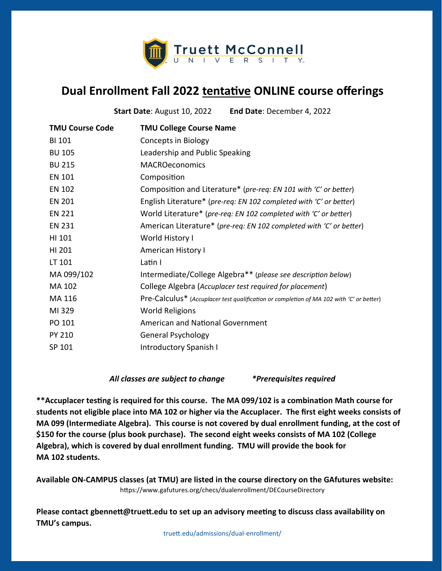

## **Dual Enrollment Fall 2022 tentative ONLINE course offerings**

**Start Date**: August 10, 2022 **End Date**: December 4, 2022

| <b>TMU Course Code</b> | <b>TMU College Course Name</b>                                                           |
|------------------------|------------------------------------------------------------------------------------------|
| <b>BI 101</b>          | Concepts in Biology                                                                      |
| <b>BU 105</b>          | Leadership and Public Speaking                                                           |
| <b>BU 215</b>          | <b>MACROeconomics</b>                                                                    |
| <b>EN 101</b>          | Composition                                                                              |
| <b>EN 102</b>          | Composition and Literature* (pre-req: EN 101 with 'C' or better)                         |
| <b>EN 201</b>          | English Literature* (pre-req: EN 102 completed with 'C' or better)                       |
| <b>EN 221</b>          | World Literature* (pre-req: EN 102 completed with 'C' or better)                         |
| <b>EN 231</b>          | American Literature* (pre-req: EN 102 completed with 'C' or better)                      |
| HI 101                 | World History I                                                                          |
| HI 201                 | American History I                                                                       |
| LT 101                 | Latin I                                                                                  |
| MA 099/102             | Intermediate/College Algebra** (please see description below)                            |
| MA 102                 | College Algebra (Accuplacer test required for placement)                                 |
| MA 116                 | Pre-Calculus* (Accuplacer test qualification or completion of MA 102 with 'C' or better) |
| MI 329                 | <b>World Religions</b>                                                                   |
| PO 101                 | <b>American and National Government</b>                                                  |
| <b>PY 210</b>          | <b>General Psychology</b>                                                                |
| SP 101                 | Introductory Spanish I                                                                   |
|                        |                                                                                          |

## *All classes are subject to change \*Prerequisites required*

**\*\*Accuplacer testing is required for this course. The MA 099/102 is a combination Math course for students not eligible place into MA 102 or higher via the Accuplacer. The first eight weeks consists of MA 099 (Intermediate Algebra). This course is not covered by dual enrollment funding, at the cost of \$150 for the course (plus book purchase). The second eight weeks consists of MA 102 (College Algebra), which is covered by dual enrollment funding. TMU will provide the book for MA 102 students.** 

**Available ON-CAMPUS classes (at TMU) are listed in the course directory on the GAfutures website:** https://www.gafutures.org/checs/dualenrollment/DECourseDirectory

**Please contact gbennett@truett.edu to set up an advisory meeting to discuss class availability on TMU's campus.**